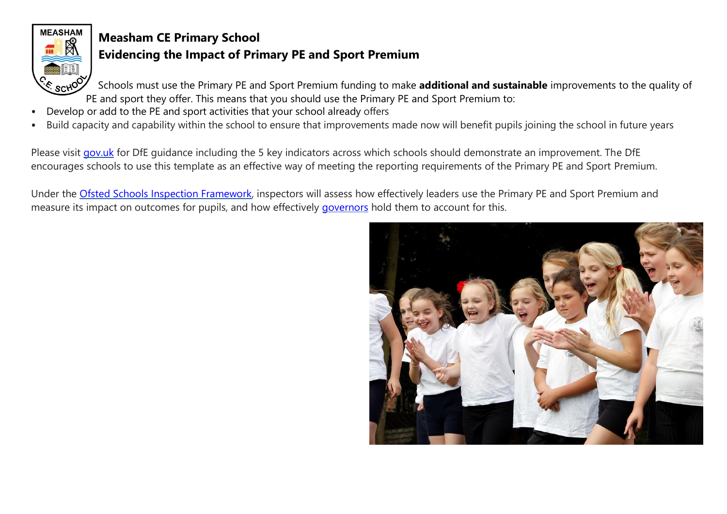

# **Measham CE Primary School**

## **Evidencing the Impact of Primary PE and Sport Premium**

Schools must use the Primary PE and Sport Premium funding to make **additional and sustainable** improvements to the quality of PE and sport they offer. This means that you should use the Primary PE and Sport Premium to:

- Develop or add to the PE and sport activities that your school already offers
- Build capacity and capability within the school to ensure that improvements made now will benefit pupils joining the school in future years

Please visit [gov.uk](https://www.gov.uk/guidance/pe-and-sport-premium-for-primary-schools) for DfE quidance including the 5 key indicators across which schools should demonstrate an improvement. The DfE encourages schools to use this template as an effective way of meeting the reporting requirements of the Primary PE and Sport Premium.

Under the [Ofsted Schools Inspection Framework,](https://www.gov.uk/government/publications/school-inspection-handbook-from-september-2015) inspectors will assess how effectively leaders use the Primary PE and Sport Premium and measure its impact on outcomes for pupils, and how effectively [governors](https://www.gov.uk/government/publications/governance-handbook) hold them to account for this.

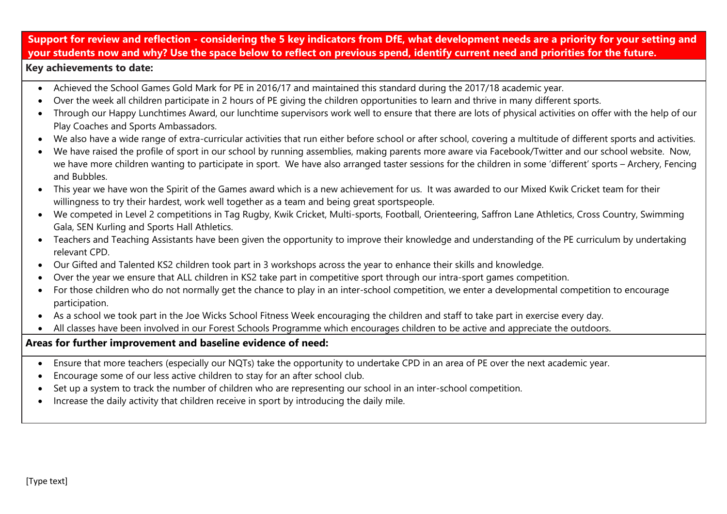## **Support for review and reflection - considering the 5 key indicators from DfE, what development needs are a priority for your setting and your students now and why? Use the space below to reflect on previous spend, identify current need and priorities for the future.**

#### **Key achievements to date:**

- Achieved the School Games Gold Mark for PE in 2016/17 and maintained this standard during the 2017/18 academic year.
- Over the week all children participate in 2 hours of PE giving the children opportunities to learn and thrive in many different sports.
- Through our Happy Lunchtimes Award, our lunchtime supervisors work well to ensure that there are lots of physical activities on offer with the help of our Play Coaches and Sports Ambassadors.
- We also have a wide range of extra-curricular activities that run either before school or after school, covering a multitude of different sports and activities.
- We have raised the profile of sport in our school by running assemblies, making parents more aware via Facebook/Twitter and our school website. Now, we have more children wanting to participate in sport. We have also arranged taster sessions for the children in some 'different' sports – Archery, Fencing and Bubbles.
- This year we have won the Spirit of the Games award which is a new achievement for us. It was awarded to our Mixed Kwik Cricket team for their willingness to try their hardest, work well together as a team and being great sportspeople.
- We competed in Level 2 competitions in Tag Rugby, Kwik Cricket, Multi-sports, Football, Orienteering, Saffron Lane Athletics, Cross Country, Swimming Gala, SEN Kurling and Sports Hall Athletics.
- Teachers and Teaching Assistants have been given the opportunity to improve their knowledge and understanding of the PE curriculum by undertaking relevant CPD.
- Our Gifted and Talented KS2 children took part in 3 workshops across the year to enhance their skills and knowledge.
- Over the year we ensure that ALL children in KS2 take part in competitive sport through our intra-sport games competition.
- For those children who do not normally get the chance to play in an inter-school competition, we enter a developmental competition to encourage participation.
- As a school we took part in the Joe Wicks School Fitness Week encouraging the children and staff to take part in exercise every day.
- All classes have been involved in our Forest Schools Programme which encourages children to be active and appreciate the outdoors.

#### **Areas for further improvement and baseline evidence of need:**

- Ensure that more teachers (especially our NQTs) take the opportunity to undertake CPD in an area of PE over the next academic year.
- Encourage some of our less active children to stay for an after school club.
- Set up a system to track the number of children who are representing our school in an inter-school competition.
- Increase the daily activity that children receive in sport by introducing the daily mile.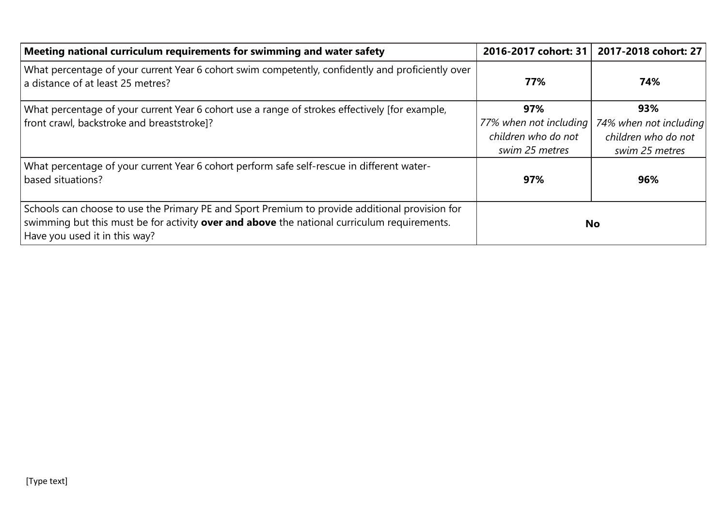| Meeting national curriculum requirements for swimming and water safety                                                                                                                                                                | 2016-2017 cohort: 31   | 2017-2018 cohort: 27   |
|---------------------------------------------------------------------------------------------------------------------------------------------------------------------------------------------------------------------------------------|------------------------|------------------------|
| What percentage of your current Year 6 cohort swim competently, confidently and proficiently over<br>a distance of at least 25 metres?                                                                                                | 77%                    | 74%                    |
| What percentage of your current Year 6 cohort use a range of strokes effectively [for example,                                                                                                                                        | 97%                    | 93%                    |
| front crawl, backstroke and breaststroke]?                                                                                                                                                                                            | 77% when not including | 74% when not including |
|                                                                                                                                                                                                                                       | children who do not    | children who do not    |
|                                                                                                                                                                                                                                       | swim 25 metres         | swim 25 metres         |
| What percentage of your current Year 6 cohort perform safe self-rescue in different water-<br>based situations?                                                                                                                       | 97%                    | 96%                    |
| Schools can choose to use the Primary PE and Sport Premium to provide additional provision for<br>swimming but this must be for activity <b>over and above</b> the national curriculum requirements.<br>Have you used it in this way? |                        | No                     |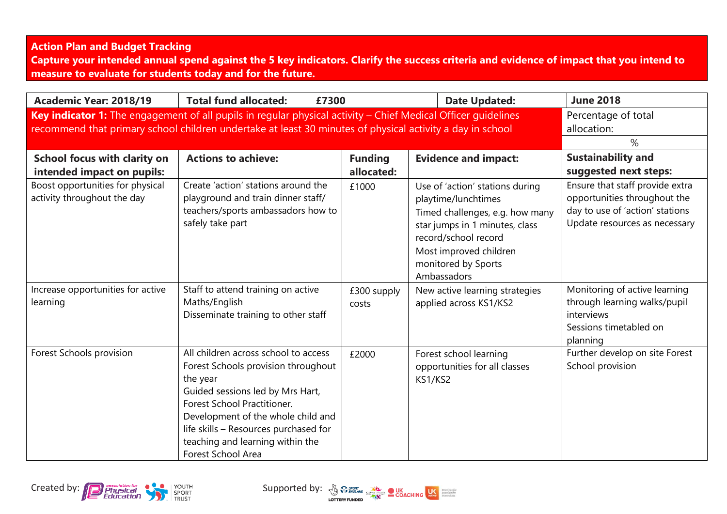### **Action Plan and Budget Tracking**

**Capture your intended annual spend against the 5 key indicators. Clarify the success criteria and evidence of impact that you intend to measure to evaluate for students today and for the future.**

| Academic Year: 2018/19                                                                                                                                                                                                     | <b>Total fund allocated:</b><br>£7300                                                                                                                                                                                                                                                                      |                              |                                                                                                             | <b>Date Updated:</b>                                                                                 | <b>June 2018</b>                                                                                                                    |
|----------------------------------------------------------------------------------------------------------------------------------------------------------------------------------------------------------------------------|------------------------------------------------------------------------------------------------------------------------------------------------------------------------------------------------------------------------------------------------------------------------------------------------------------|------------------------------|-------------------------------------------------------------------------------------------------------------|------------------------------------------------------------------------------------------------------|-------------------------------------------------------------------------------------------------------------------------------------|
| Key indicator 1: The engagement of all pupils in regular physical activity - Chief Medical Officer guidelines<br>recommend that primary school children undertake at least 30 minutes of physical activity a day in school |                                                                                                                                                                                                                                                                                                            |                              |                                                                                                             |                                                                                                      | Percentage of total<br>allocation:<br>$\%$                                                                                          |
| School focus with clarity on<br>intended impact on pupils:                                                                                                                                                                 | <b>Actions to achieve:</b>                                                                                                                                                                                                                                                                                 | <b>Funding</b><br>allocated: | <b>Evidence and impact:</b>                                                                                 |                                                                                                      | <b>Sustainability and</b><br>suggested next steps:                                                                                  |
| Boost opportunities for physical<br>activity throughout the day                                                                                                                                                            | Create 'action' stations around the<br>playground and train dinner staff/<br>teachers/sports ambassadors how to<br>safely take part                                                                                                                                                                        | £1000                        | playtime/lunchtimes<br>record/school record<br>Most improved children<br>monitored by Sports<br>Ambassadors | Use of 'action' stations during<br>Timed challenges, e.g. how many<br>star jumps in 1 minutes, class | Ensure that staff provide extra<br>opportunities throughout the<br>day to use of 'action' stations<br>Update resources as necessary |
| Increase opportunities for active<br>learning                                                                                                                                                                              | Staff to attend training on active<br>Maths/English<br>Disseminate training to other staff                                                                                                                                                                                                                 | £300 supply<br>costs         | applied across KS1/KS2                                                                                      | New active learning strategies                                                                       | Monitoring of active learning<br>through learning walks/pupil<br>interviews<br>Sessions timetabled on<br>planning                   |
| Forest Schools provision                                                                                                                                                                                                   | All children across school to access<br>Forest Schools provision throughout<br>the year<br>Guided sessions led by Mrs Hart,<br>Forest School Practitioner.<br>Development of the whole child and<br>life skills - Resources purchased for<br>teaching and learning within the<br><b>Forest School Area</b> | £2000                        | Forest school learning<br>KS1/KS2                                                                           | opportunities for all classes                                                                        | Further develop on site Forest<br>School provision                                                                                  |



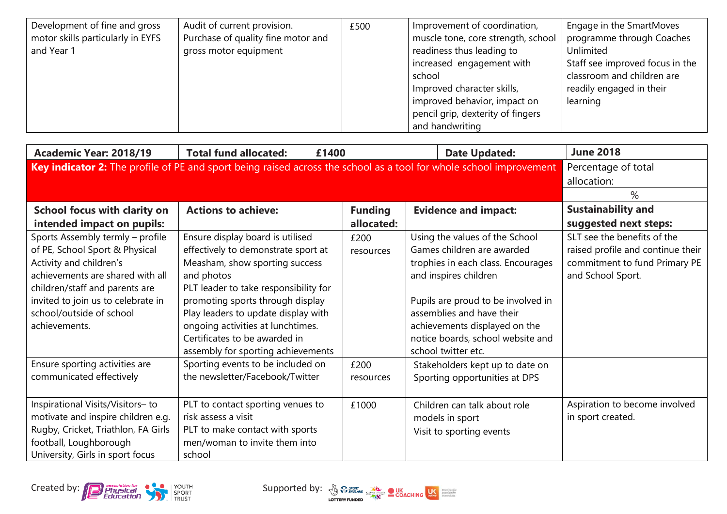| Development of fine and gross<br>motor skills particularly in EYFS<br>and Year 1 | Audit of current provision.<br>Purchase of quality fine motor and<br>gross motor equipment | £500 | Improvement of coordination,<br>muscle tone, core strength, school<br>readiness thus leading to<br>increased engagement with<br>school<br>Improved character skills, | Engage in the SmartMoves<br>programme through Coaches<br>Unlimited<br>Staff see improved focus in the<br>classroom and children are<br>readily engaged in their |
|----------------------------------------------------------------------------------|--------------------------------------------------------------------------------------------|------|----------------------------------------------------------------------------------------------------------------------------------------------------------------------|-----------------------------------------------------------------------------------------------------------------------------------------------------------------|
|                                                                                  |                                                                                            |      | improved behavior, impact on<br>pencil grip, dexterity of fingers                                                                                                    | learning                                                                                                                                                        |
|                                                                                  |                                                                                            |      | and handwriting                                                                                                                                                      |                                                                                                                                                                 |

| Academic Year: 2018/19                                                                                             | <b>Total fund allocated:</b><br>£1400 |                | <b>Date Updated:</b>               | <b>June 2018</b>                  |  |
|--------------------------------------------------------------------------------------------------------------------|---------------------------------------|----------------|------------------------------------|-----------------------------------|--|
| Key indicator 2: The profile of PE and sport being raised across the school as a tool for whole school improvement | Percentage of total                   |                |                                    |                                   |  |
|                                                                                                                    |                                       |                |                                    |                                   |  |
|                                                                                                                    |                                       |                |                                    | $\%$                              |  |
| School focus with clarity on                                                                                       | <b>Actions to achieve:</b>            | <b>Funding</b> | <b>Evidence and impact:</b>        | <b>Sustainability and</b>         |  |
| intended impact on pupils:                                                                                         |                                       | allocated:     |                                    | suggested next steps:             |  |
| Sports Assembly termly - profile                                                                                   | Ensure display board is utilised      | £200           | Using the values of the School     | SLT see the benefits of the       |  |
| of PE, School Sport & Physical                                                                                     | effectively to demonstrate sport at   | resources      | Games children are awarded         | raised profile and continue their |  |
| Activity and children's                                                                                            | Measham, show sporting success        |                | trophies in each class. Encourages | commitment to fund Primary PE     |  |
| achievements are shared with all                                                                                   | and photos                            |                | and inspires children              | and School Sport.                 |  |
| children/staff and parents are                                                                                     | PLT leader to take responsibility for |                |                                    |                                   |  |
| invited to join us to celebrate in                                                                                 | promoting sports through display      |                | Pupils are proud to be involved in |                                   |  |
| school/outside of school                                                                                           | Play leaders to update display with   |                | assemblies and have their          |                                   |  |
| achievements.                                                                                                      | ongoing activities at lunchtimes.     |                | achievements displayed on the      |                                   |  |
|                                                                                                                    | Certificates to be awarded in         |                | notice boards, school website and  |                                   |  |
|                                                                                                                    | assembly for sporting achievements    |                | school twitter etc.                |                                   |  |
| Ensure sporting activities are                                                                                     | Sporting events to be included on     | £200           | Stakeholders kept up to date on    |                                   |  |
| communicated effectively                                                                                           | the newsletter/Facebook/Twitter       | resources      | Sporting opportunities at DPS      |                                   |  |
|                                                                                                                    |                                       |                |                                    |                                   |  |
| Inspirational Visits/Visitors-to                                                                                   | PLT to contact sporting venues to     | £1000          | Children can talk about role       | Aspiration to become involved     |  |
| motivate and inspire children e.g.                                                                                 | risk assess a visit                   |                | models in sport                    | in sport created.                 |  |
| Rugby, Cricket, Triathlon, FA Girls                                                                                | PLT to make contact with sports       |                | Visit to sporting events           |                                   |  |
| football, Loughborough                                                                                             | men/woman to invite them into         |                |                                    |                                   |  |
| University, Girls in sport focus                                                                                   | school                                |                |                                    |                                   |  |



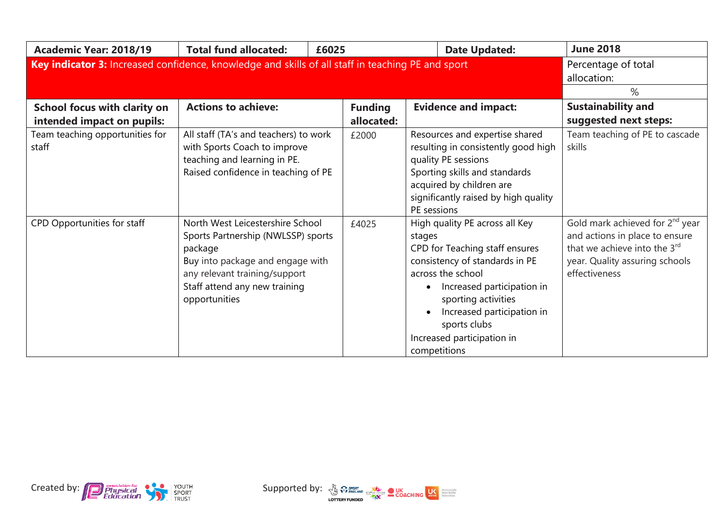| Academic Year: 2018/19                                                                            | <b>Total fund allocated:</b><br>£6025                                                                                                                                                                    |                              | <b>Date Updated:</b>                                                                                                                                                                                                                                                               | <b>June 2018</b>                                                                                                                                                 |
|---------------------------------------------------------------------------------------------------|----------------------------------------------------------------------------------------------------------------------------------------------------------------------------------------------------------|------------------------------|------------------------------------------------------------------------------------------------------------------------------------------------------------------------------------------------------------------------------------------------------------------------------------|------------------------------------------------------------------------------------------------------------------------------------------------------------------|
| Key indicator 3: Increased confidence, knowledge and skills of all staff in teaching PE and sport | Percentage of total<br>allocation:<br>%                                                                                                                                                                  |                              |                                                                                                                                                                                                                                                                                    |                                                                                                                                                                  |
| School focus with clarity on<br>intended impact on pupils:                                        | <b>Actions to achieve:</b>                                                                                                                                                                               | <b>Funding</b><br>allocated: | <b>Evidence and impact:</b>                                                                                                                                                                                                                                                        | <b>Sustainability and</b><br>suggested next steps:                                                                                                               |
| Team teaching opportunities for<br>staff                                                          | All staff (TA's and teachers) to work<br>with Sports Coach to improve<br>teaching and learning in PE.<br>Raised confidence in teaching of PE                                                             | £2000                        | Resources and expertise shared<br>resulting in consistently good high<br>quality PE sessions<br>Sporting skills and standards<br>acquired by children are<br>significantly raised by high quality<br>PE sessions                                                                   | Team teaching of PE to cascade<br>skills                                                                                                                         |
| CPD Opportunities for staff                                                                       | North West Leicestershire School<br>Sports Partnership (NWLSSP) sports<br>package<br>Buy into package and engage with<br>any relevant training/support<br>Staff attend any new training<br>opportunities | £4025                        | High quality PE across all Key<br>stages<br>CPD for Teaching staff ensures<br>consistency of standards in PE<br>across the school<br>Increased participation in<br>sporting activities<br>Increased participation in<br>sports clubs<br>Increased participation in<br>competitions | Gold mark achieved for 2 <sup>nd</sup> year<br>and actions in place to ensure<br>that we achieve into the 3rd<br>year. Quality assuring schools<br>effectiveness |